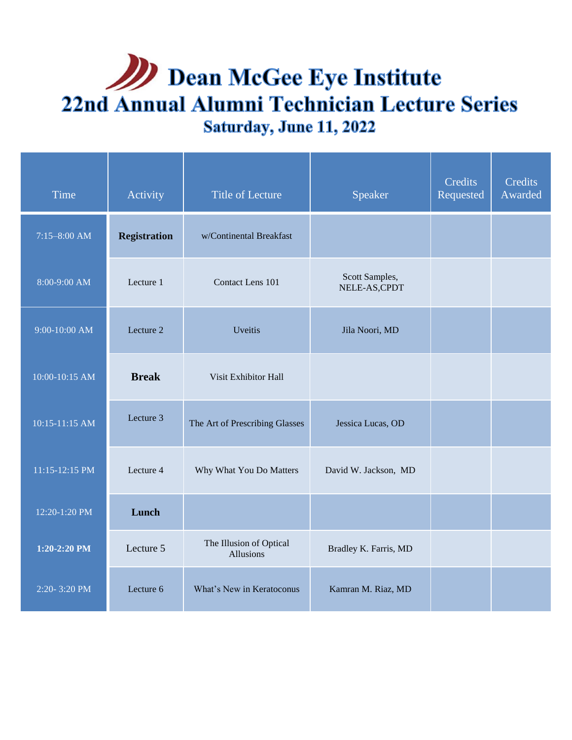# **Dean McGee Eye Institute** 22nd Annual Alumni Technician Lecture Series Saturday, June 11, 2022

| Time             | Activity            | <b>Title of Lecture</b>              | Speaker                         | Credits<br>Requested | Credits<br>Awarded |
|------------------|---------------------|--------------------------------------|---------------------------------|----------------------|--------------------|
| $7:15 - 8:00$ AM | <b>Registration</b> | w/Continental Breakfast              |                                 |                      |                    |
| 8:00-9:00 AM     | Lecture 1           | Contact Lens 101                     | Scott Samples,<br>NELE-AS, CPDT |                      |                    |
| 9:00-10:00 AM    | Lecture 2           | Uveitis                              | Jila Noori, MD                  |                      |                    |
| 10:00-10:15 AM   | <b>Break</b>        | Visit Exhibitor Hall                 |                                 |                      |                    |
| 10:15-11:15 AM   | Lecture 3           | The Art of Prescribing Glasses       | Jessica Lucas, OD               |                      |                    |
| 11:15-12:15 PM   | Lecture 4           | Why What You Do Matters              | David W. Jackson, MD            |                      |                    |
| 12:20-1:20 PM    | Lunch               |                                      |                                 |                      |                    |
| 1:20-2:20 PM     | Lecture 5           | The Illusion of Optical<br>Allusions | Bradley K. Farris, MD           |                      |                    |
| 2:20-3:20 PM     | Lecture 6           | What's New in Keratoconus            | Kamran M. Riaz, MD              |                      |                    |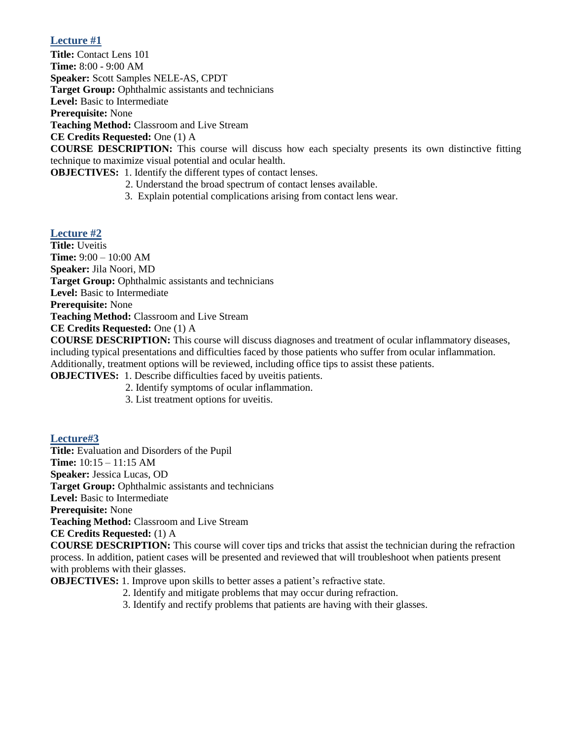# **Lecture #1**

**Title:** Contact Lens 101 **Time:** 8:00 - 9:00 AM **Speaker:** Scott Samples NELE-AS, CPDT **Target Group:** Ophthalmic assistants and technicians **Level:** Basic to Intermediate **Prerequisite:** None **Teaching Method:** Classroom and Live Stream **CE Credits Requested:** One (1) A **COURSE DESCRIPTION:** This course will discuss how each specialty presents its own distinctive fitting technique to maximize visual potential and ocular health.

**OBJECTIVES:** 1. Identify the different types of contact lenses.

- 2. Understand the broad spectrum of contact lenses available.
- 3. Explain potential complications arising from contact lens wear.

#### **Lecture #2**

**Title:** Uveitis **Time:** 9:00 – 10:00 AM **Speaker:** Jila Noori, MD **Target Group:** Ophthalmic assistants and technicians **Level:** Basic to Intermediate **Prerequisite:** None **Teaching Method:** Classroom and Live Stream **CE Credits Requested:** One (1) A

**COURSE DESCRIPTION:** This course will discuss diagnoses and treatment of ocular inflammatory diseases, including typical presentations and difficulties faced by those patients who suffer from ocular inflammation. Additionally, treatment options will be reviewed, including office tips to assist these patients.

**OBJECTIVES:** 1. Describe difficulties faced by uveitis patients.

- 2. Identify symptoms of ocular inflammation.
- 3. List treatment options for uveitis.

#### **Lecture#3**

**Title:** Evaluation and Disorders of the Pupil **Time:** 10:15 – 11:15 AM **Speaker:** Jessica Lucas, OD **Target Group:** Ophthalmic assistants and technicians **Level:** Basic to Intermediate **Prerequisite:** None **Teaching Method:** Classroom and Live Stream **CE Credits Requested:** (1) A **COURSE DESCRIPTION:** This course will cover tips and tricks that assist the technician during the refraction process. In addition, patient cases will be presented and reviewed that will troubleshoot when patients present with problems with their glasses.

**OBJECTIVES:** 1. Improve upon skills to better asses a patient's refractive state.

- 2. Identify and mitigate problems that may occur during refraction.
- 3. Identify and rectify problems that patients are having with their glasses.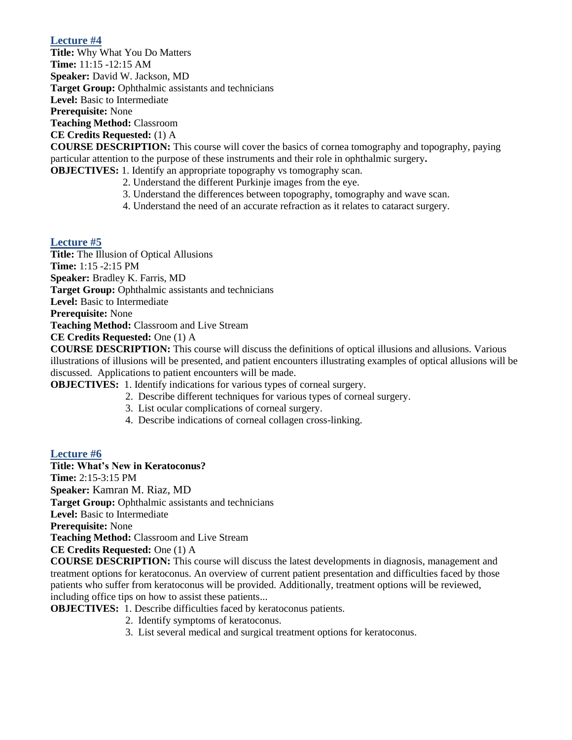## **Lecture #4**

**Title:** Why What You Do Matters **Time:** 11:15 -12:15 AM **Speaker:** David W. Jackson, MD **Target Group:** Ophthalmic assistants and technicians **Level:** Basic to Intermediate **Prerequisite:** None **Teaching Method:** Classroom **CE Credits Requested:** (1) A

**COURSE DESCRIPTION:** This course will cover the basics of cornea tomography and topography, paying particular attention to the purpose of these instruments and their role in ophthalmic surgery**.**

- **OBJECTIVES:** 1. Identify an appropriate topography vs tomography scan.
	- 2. Understand the different Purkinje images from the eye.
	- 3. Understand the differences between topography, tomography and wave scan.
	- 4. Understand the need of an accurate refraction as it relates to cataract surgery.

## **Lecture #5**

**Title:** The Illusion of Optical Allusions **Time:** 1:15 -2:15 PM **Speaker:** Bradley K. Farris, MD **Target Group:** Ophthalmic assistants and technicians **Level:** Basic to Intermediate **Prerequisite:** None **Teaching Method:** Classroom and Live Stream **CE Credits Requested:** One (1) A

**COURSE DESCRIPTION:** This course will discuss the definitions of optical illusions and allusions. Various illustrations of illusions will be presented, and patient encounters illustrating examples of optical allusions will be discussed. Applications to patient encounters will be made.

- **OBJECTIVES:** 1. Identify indications for various types of corneal surgery.
	- 2. Describe different techniques for various types of corneal surgery.
	- 3. List ocular complications of corneal surgery.
	- 4. Describe indications of corneal collagen cross-linking.

#### **Lecture #6**

**Title: What's New in Keratoconus? Time:** 2:15-3:15 PM **Speaker:** Kamran M. Riaz, MD **Target Group:** Ophthalmic assistants and technicians **Level:** Basic to Intermediate **Prerequisite:** None **Teaching Method:** Classroom and Live Stream **CE Credits Requested:** One (1) A

**COURSE DESCRIPTION:** This course will discuss the latest developments in diagnosis, management and treatment options for keratoconus. An overview of current patient presentation and difficulties faced by those patients who suffer from keratoconus will be provided. Additionally, treatment options will be reviewed, including office tips on how to assist these patients...

**OBJECTIVES:** 1. Describe difficulties faced by keratoconus patients.

- 2. Identify symptoms of keratoconus.
- 3. List several medical and surgical treatment options for keratoconus.